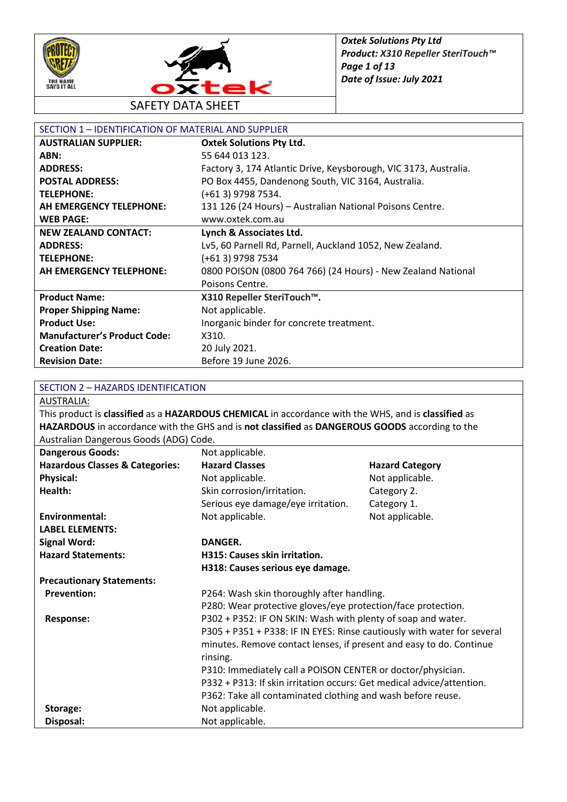



| SECTION 1 - IDENTIFICATION OF MATERIAL AND SUPPLIER |                                                                  |
|-----------------------------------------------------|------------------------------------------------------------------|
| <b>AUSTRALIAN SUPPLIER:</b>                         | <b>Oxtek Solutions Pty Ltd.</b>                                  |
| ABN:                                                | 55 644 013 123.                                                  |
| <b>ADDRESS:</b>                                     | Factory 3, 174 Atlantic Drive, Keysborough, VIC 3173, Australia. |
| <b>POSTAL ADDRESS:</b>                              | PO Box 4455, Dandenong South, VIC 3164, Australia.               |
| <b>TELEPHONE:</b>                                   | (+61 3) 9798 7534.                                               |
| AH EMERGENCY TELEPHONE:                             | 131 126 (24 Hours) - Australian National Poisons Centre.         |
| <b>WEB PAGE:</b>                                    | www.oxtek.com.au                                                 |
| <b>NEW ZEALAND CONTACT:</b>                         | Lynch & Associates Ltd.                                          |
| <b>ADDRESS:</b>                                     | Lv5, 60 Parnell Rd, Parnell, Auckland 1052, New Zealand.         |
| <b>TELEPHONE:</b>                                   | (+61 3) 9798 7534                                                |
| AH EMERGENCY TELEPHONE:                             | 0800 POISON (0800 764 766) (24 Hours) - New Zealand National     |
|                                                     | Poisons Centre.                                                  |
| <b>Product Name:</b>                                | X310 Repeller SteriTouch™.                                       |
| <b>Proper Shipping Name:</b>                        | Not applicable.                                                  |
| <b>Product Use:</b>                                 | Inorganic binder for concrete treatment.                         |
| <b>Manufacturer's Product Code:</b>                 | X310.                                                            |
| <b>Creation Date:</b>                               | 20 July 2021.                                                    |
| <b>Revision Date:</b>                               | Before 19 June 2026.                                             |

#### SECTION 2 – HAZARDS IDENTIFICATION

AUSTRALIA:

This product is **classified** as a **HAZARDOUS CHEMICAL** in accordance with the WHS, and is **classified** as **HAZARDOUS** in accordance with the GHS and is **not classified** as **DANGEROUS GOODS** according to the Australian Dangerous Goods (ADG) Code.

| astranan Bangerous ooods (no of oode<br><b>Dangerous Goods:</b> | Not applicable.                                                         |                        |
|-----------------------------------------------------------------|-------------------------------------------------------------------------|------------------------|
| <b>Hazardous Classes &amp; Categories:</b>                      | <b>Hazard Classes</b>                                                   | <b>Hazard Category</b> |
| <b>Physical:</b>                                                | Not applicable.                                                         | Not applicable.        |
| Health:                                                         | Skin corrosion/irritation.                                              | Category 2.            |
|                                                                 | Serious eye damage/eye irritation.                                      | Category 1.            |
| Environmental:                                                  | Not applicable.                                                         | Not applicable.        |
| <b>LABEL ELEMENTS:</b>                                          |                                                                         |                        |
| <b>Signal Word:</b>                                             | <b>DANGER.</b>                                                          |                        |
| <b>Hazard Statements:</b>                                       | <b>H315: Causes skin irritation.</b>                                    |                        |
|                                                                 | H318: Causes serious eye damage.                                        |                        |
| <b>Precautionary Statements:</b>                                |                                                                         |                        |
| <b>Prevention:</b>                                              | P264: Wash skin thoroughly after handling.                              |                        |
|                                                                 | P280: Wear protective gloves/eye protection/face protection.            |                        |
| <b>Response:</b>                                                | P302 + P352: IF ON SKIN: Wash with plenty of soap and water.            |                        |
|                                                                 | P305 + P351 + P338: IF IN EYES: Rinse cautiously with water for several |                        |
|                                                                 | minutes. Remove contact lenses, if present and easy to do. Continue     |                        |
|                                                                 | rinsing.                                                                |                        |
|                                                                 | P310: Immediately call a POISON CENTER or doctor/physician.             |                        |
|                                                                 | P332 + P313: If skin irritation occurs: Get medical advice/attention.   |                        |
|                                                                 | P362: Take all contaminated clothing and wash before reuse.             |                        |
| Storage:                                                        | Not applicable.                                                         |                        |
| Disposal:                                                       | Not applicable.                                                         |                        |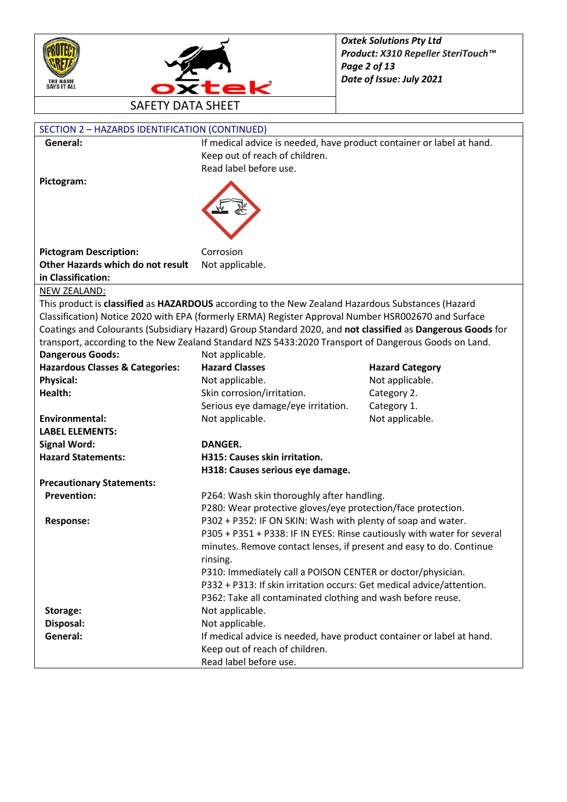



| SECTION 2 - HAZARDS IDENTIFICATION (CONTINUED) |                                                                                                            |                        |
|------------------------------------------------|------------------------------------------------------------------------------------------------------------|------------------------|
| General:                                       | If medical advice is needed, have product container or label at hand.                                      |                        |
|                                                | Keep out of reach of children.                                                                             |                        |
|                                                | Read label before use.                                                                                     |                        |
| Pictogram:                                     |                                                                                                            |                        |
|                                                |                                                                                                            |                        |
|                                                |                                                                                                            |                        |
|                                                |                                                                                                            |                        |
|                                                |                                                                                                            |                        |
| <b>Pictogram Description:</b>                  | Corrosion                                                                                                  |                        |
| Other Hazards which do not result              | Not applicable.                                                                                            |                        |
| in Classification:                             |                                                                                                            |                        |
| NEW ZEALAND:                                   |                                                                                                            |                        |
|                                                | This product is classified as HAZARDOUS according to the New Zealand Hazardous Substances (Hazard          |                        |
|                                                | Classification) Notice 2020 with EPA (formerly ERMA) Register Approval Number HSR002670 and Surface        |                        |
|                                                | Coatings and Colourants (Subsidiary Hazard) Group Standard 2020, and not classified as Dangerous Goods for |                        |
|                                                | transport, according to the New Zealand Standard NZS 5433:2020 Transport of Dangerous Goods on Land.       |                        |
| <b>Dangerous Goods:</b>                        | Not applicable.                                                                                            |                        |
| <b>Hazardous Classes &amp; Categories:</b>     | <b>Hazard Classes</b>                                                                                      | <b>Hazard Category</b> |
| <b>Physical:</b>                               | Not applicable.                                                                                            | Not applicable.        |
| Health:                                        | Skin corrosion/irritation.                                                                                 | Category 2.            |
|                                                | Serious eye damage/eye irritation.                                                                         | Category 1.            |
| <b>Environmental:</b>                          | Not applicable.                                                                                            | Not applicable.        |
| <b>LABEL ELEMENTS:</b>                         |                                                                                                            |                        |
| <b>Signal Word:</b>                            | <b>DANGER.</b>                                                                                             |                        |
| <b>Hazard Statements:</b>                      | H315: Causes skin irritation.                                                                              |                        |
|                                                | H318: Causes serious eye damage.                                                                           |                        |
| <b>Precautionary Statements:</b>               |                                                                                                            |                        |
| <b>Prevention:</b>                             | P264: Wash skin thoroughly after handling.                                                                 |                        |
|                                                | P280: Wear protective gloves/eye protection/face protection.                                               |                        |
| <b>Response:</b>                               | P302 + P352: IF ON SKIN: Wash with plenty of soap and water.                                               |                        |
|                                                | P305 + P351 + P338: IF IN EYES: Rinse cautiously with water for several                                    |                        |
|                                                | minutes. Remove contact lenses, if present and easy to do. Continue                                        |                        |
|                                                | rinsing.                                                                                                   |                        |
|                                                | P310: Immediately call a POISON CENTER or doctor/physician.                                                |                        |
|                                                | P332 + P313: If skin irritation occurs: Get medical advice/attention.                                      |                        |
|                                                | P362: Take all contaminated clothing and wash before reuse.                                                |                        |
| Storage:                                       | Not applicable.                                                                                            |                        |
| Disposal:                                      | Not applicable.                                                                                            |                        |
| General:                                       | If medical advice is needed, have product container or label at hand.                                      |                        |
|                                                | Keep out of reach of children.                                                                             |                        |
|                                                | Read label before use.                                                                                     |                        |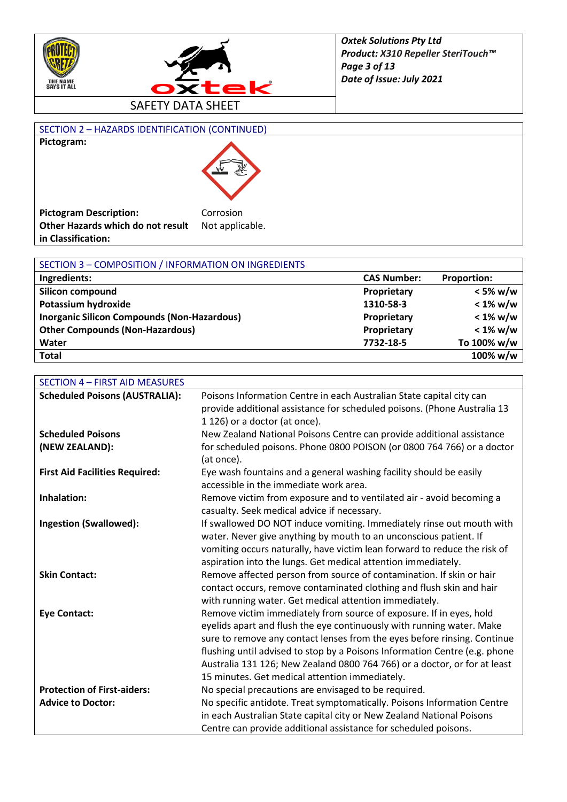



#### SECTION 2 – HAZARDS IDENTIFICATION (CONTINUED) **Pictogram:**



| <b>Pictogram Description:</b>     | Corrosion       |
|-----------------------------------|-----------------|
| Other Hazards which do not result | Not applicable. |
| in Classification:                |                 |

| SECTION 3 - COMPOSITION / INFORMATION ON INGREDIENTS |                    |                    |
|------------------------------------------------------|--------------------|--------------------|
| Ingredients:                                         | <b>CAS Number:</b> | <b>Proportion:</b> |
| <b>Silicon compound</b>                              | Proprietary        | $<$ 5% w/w         |
| Potassium hydroxide                                  | 1310-58-3          | $< 1\%$ w/w        |
| <b>Inorganic Silicon Compounds (Non-Hazardous)</b>   | Proprietary        | $< 1\%$ w/w        |
| <b>Other Compounds (Non-Hazardous)</b>               | Proprietary        | $< 1\%$ w/w        |
| Water                                                | 7732-18-5          | To 100% w/w        |
| <b>Total</b>                                         |                    | 100% w/w           |

| <b>SECTION 4 - FIRST AID MEASURES</b> |                                                                            |
|---------------------------------------|----------------------------------------------------------------------------|
| <b>Scheduled Poisons (AUSTRALIA):</b> | Poisons Information Centre in each Australian State capital city can       |
|                                       | provide additional assistance for scheduled poisons. (Phone Australia 13   |
|                                       | 1 126) or a doctor (at once).                                              |
| <b>Scheduled Poisons</b>              | New Zealand National Poisons Centre can provide additional assistance      |
| (NEW ZEALAND):                        | for scheduled poisons. Phone 0800 POISON (or 0800 764 766) or a doctor     |
|                                       | (at once).                                                                 |
| <b>First Aid Facilities Required:</b> | Eye wash fountains and a general washing facility should be easily         |
|                                       | accessible in the immediate work area.                                     |
| Inhalation:                           | Remove victim from exposure and to ventilated air - avoid becoming a       |
|                                       | casualty. Seek medical advice if necessary.                                |
| <b>Ingestion (Swallowed):</b>         | If swallowed DO NOT induce vomiting. Immediately rinse out mouth with      |
|                                       | water. Never give anything by mouth to an unconscious patient. If          |
|                                       | vomiting occurs naturally, have victim lean forward to reduce the risk of  |
|                                       | aspiration into the lungs. Get medical attention immediately.              |
| <b>Skin Contact:</b>                  | Remove affected person from source of contamination. If skin or hair       |
|                                       | contact occurs, remove contaminated clothing and flush skin and hair       |
|                                       | with running water. Get medical attention immediately.                     |
| <b>Eye Contact:</b>                   | Remove victim immediately from source of exposure. If in eyes, hold        |
|                                       | eyelids apart and flush the eye continuously with running water. Make      |
|                                       | sure to remove any contact lenses from the eyes before rinsing. Continue   |
|                                       | flushing until advised to stop by a Poisons Information Centre (e.g. phone |
|                                       | Australia 131 126; New Zealand 0800 764 766) or a doctor, or for at least  |
|                                       | 15 minutes. Get medical attention immediately.                             |
| <b>Protection of First-aiders:</b>    | No special precautions are envisaged to be required.                       |
| <b>Advice to Doctor:</b>              | No specific antidote. Treat symptomatically. Poisons Information Centre    |
|                                       | in each Australian State capital city or New Zealand National Poisons      |
|                                       | Centre can provide additional assistance for scheduled poisons.            |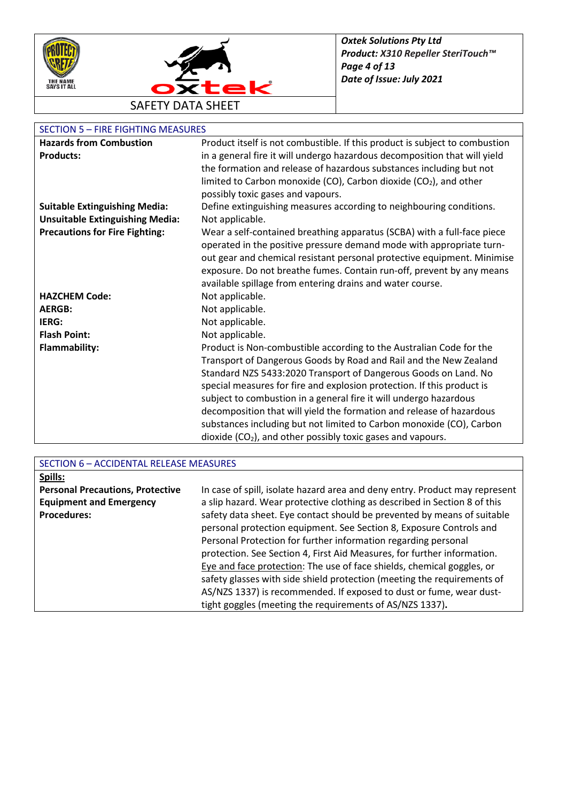



### SECTION 5 – FIRE FIGHTING MEASURES

| <b>Hazards from Combustion</b>         | Product itself is not combustible. If this product is subject to combustion |
|----------------------------------------|-----------------------------------------------------------------------------|
| <b>Products:</b>                       | in a general fire it will undergo hazardous decomposition that will yield   |
|                                        | the formation and release of hazardous substances including but not         |
|                                        | limited to Carbon monoxide (CO), Carbon dioxide (CO2), and other            |
|                                        | possibly toxic gases and vapours.                                           |
| <b>Suitable Extinguishing Media:</b>   | Define extinguishing measures according to neighbouring conditions.         |
| <b>Unsuitable Extinguishing Media:</b> | Not applicable.                                                             |
|                                        |                                                                             |
| <b>Precautions for Fire Fighting:</b>  | Wear a self-contained breathing apparatus (SCBA) with a full-face piece     |
|                                        | operated in the positive pressure demand mode with appropriate turn-        |
|                                        | out gear and chemical resistant personal protective equipment. Minimise     |
|                                        | exposure. Do not breathe fumes. Contain run-off, prevent by any means       |
|                                        | available spillage from entering drains and water course.                   |
| <b>HAZCHEM Code:</b>                   | Not applicable.                                                             |
| <b>AERGB:</b>                          | Not applicable.                                                             |
| IERG:                                  | Not applicable.                                                             |
| <b>Flash Point:</b>                    | Not applicable.                                                             |
| <b>Flammability:</b>                   | Product is Non-combustible according to the Australian Code for the         |
|                                        | Transport of Dangerous Goods by Road and Rail and the New Zealand           |
|                                        | Standard NZS 5433:2020 Transport of Dangerous Goods on Land. No             |
|                                        | special measures for fire and explosion protection. If this product is      |
|                                        | subject to combustion in a general fire it will undergo hazardous           |
|                                        | decomposition that will yield the formation and release of hazardous        |
|                                        | substances including but not limited to Carbon monoxide (CO), Carbon        |
|                                        | dioxide $(CO2)$ , and other possibly toxic gases and vapours.               |

| SECTION 6 - ACCIDENTAL RELEASE MEASURES |                                                                             |
|-----------------------------------------|-----------------------------------------------------------------------------|
| Spills:                                 |                                                                             |
| <b>Personal Precautions, Protective</b> | In case of spill, isolate hazard area and deny entry. Product may represent |
| <b>Equipment and Emergency</b>          | a slip hazard. Wear protective clothing as described in Section 8 of this   |
| <b>Procedures:</b>                      | safety data sheet. Eye contact should be prevented by means of suitable     |
|                                         | personal protection equipment. See Section 8, Exposure Controls and         |
|                                         | Personal Protection for further information regarding personal              |
|                                         | protection. See Section 4, First Aid Measures, for further information.     |
|                                         | Eye and face protection: The use of face shields, chemical goggles, or      |
|                                         | safety glasses with side shield protection (meeting the requirements of     |
|                                         | AS/NZS 1337) is recommended. If exposed to dust or fume, wear dust-         |
|                                         | tight goggles (meeting the requirements of AS/NZS 1337).                    |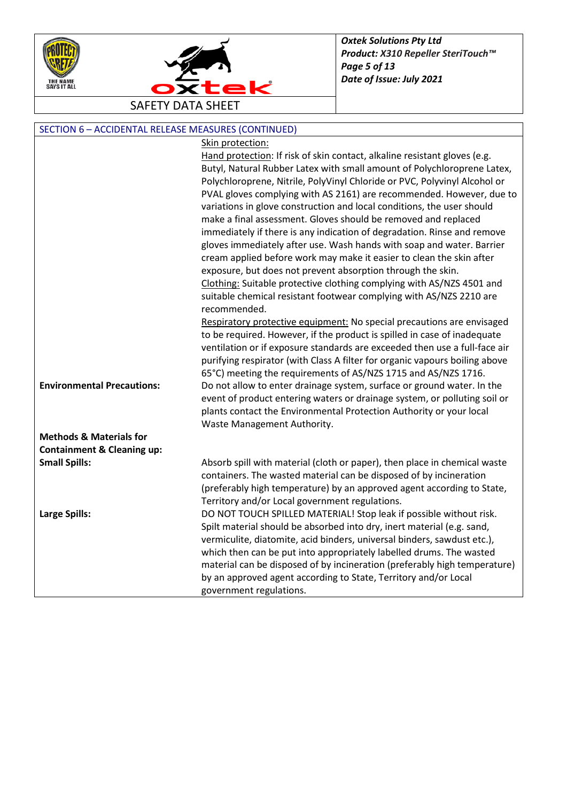



| SECTION 6 - ACCIDENTAL RELEASE MEASURES (CONTINUED) |                                                                                                                                              |
|-----------------------------------------------------|----------------------------------------------------------------------------------------------------------------------------------------------|
|                                                     | Skin protection:                                                                                                                             |
|                                                     | Hand protection: If risk of skin contact, alkaline resistant gloves (e.g.                                                                    |
|                                                     | Butyl, Natural Rubber Latex with small amount of Polychloroprene Latex,                                                                      |
|                                                     | Polychloroprene, Nitrile, PolyVinyl Chloride or PVC, Polyvinyl Alcohol or                                                                    |
|                                                     | PVAL gloves complying with AS 2161) are recommended. However, due to                                                                         |
|                                                     | variations in glove construction and local conditions, the user should                                                                       |
|                                                     | make a final assessment. Gloves should be removed and replaced                                                                               |
|                                                     | immediately if there is any indication of degradation. Rinse and remove                                                                      |
|                                                     | gloves immediately after use. Wash hands with soap and water. Barrier                                                                        |
|                                                     | cream applied before work may make it easier to clean the skin after                                                                         |
|                                                     | exposure, but does not prevent absorption through the skin.                                                                                  |
|                                                     | Clothing: Suitable protective clothing complying with AS/NZS 4501 and                                                                        |
|                                                     | suitable chemical resistant footwear complying with AS/NZS 2210 are                                                                          |
|                                                     | recommended.                                                                                                                                 |
|                                                     | Respiratory protective equipment: No special precautions are envisaged                                                                       |
|                                                     | to be required. However, if the product is spilled in case of inadequate                                                                     |
|                                                     | ventilation or if exposure standards are exceeded then use a full-face air                                                                   |
|                                                     | purifying respirator (with Class A filter for organic vapours boiling above                                                                  |
|                                                     | 65°C) meeting the requirements of AS/NZS 1715 and AS/NZS 1716.                                                                               |
| <b>Environmental Precautions:</b>                   | Do not allow to enter drainage system, surface or ground water. In the                                                                       |
|                                                     | event of product entering waters or drainage system, or polluting soil or                                                                    |
|                                                     | plants contact the Environmental Protection Authority or your local                                                                          |
|                                                     | Waste Management Authority.                                                                                                                  |
| <b>Methods &amp; Materials for</b>                  |                                                                                                                                              |
| <b>Containment &amp; Cleaning up:</b>               |                                                                                                                                              |
| <b>Small Spills:</b>                                | Absorb spill with material (cloth or paper), then place in chemical waste                                                                    |
|                                                     | containers. The wasted material can be disposed of by incineration                                                                           |
|                                                     | (preferably high temperature) by an approved agent according to State,                                                                       |
|                                                     | Territory and/or Local government regulations.                                                                                               |
| <b>Large Spills:</b>                                | DO NOT TOUCH SPILLED MATERIAL! Stop leak if possible without risk.                                                                           |
|                                                     | Spilt material should be absorbed into dry, inert material (e.g. sand,                                                                       |
|                                                     | vermiculite, diatomite, acid binders, universal binders, sawdust etc.),                                                                      |
|                                                     | which then can be put into appropriately labelled drums. The wasted                                                                          |
|                                                     | material can be disposed of by incineration (preferably high temperature)<br>by an approved agent according to State, Territory and/or Local |
|                                                     |                                                                                                                                              |
|                                                     | government regulations.                                                                                                                      |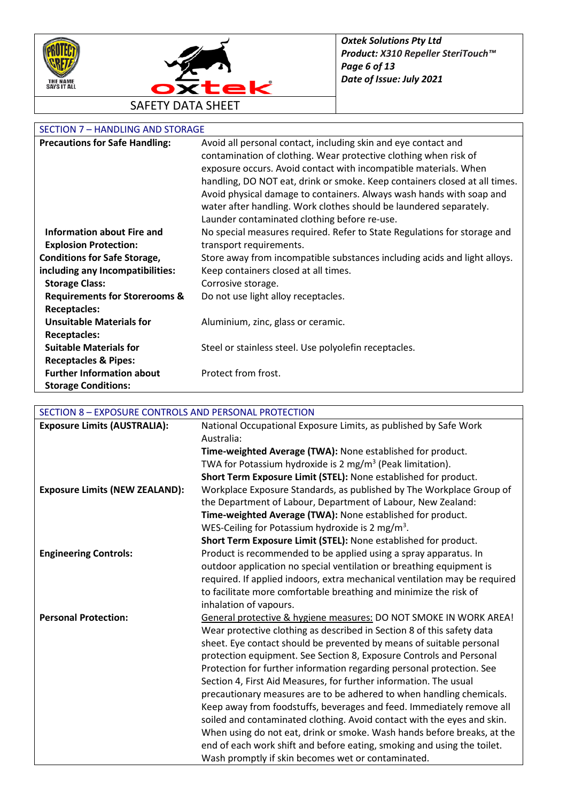



# SECTION 7 - HANDLING AND STORAGE

| <b>Precautions for Safe Handling:</b>    | Avoid all personal contact, including skin and eye contact and             |
|------------------------------------------|----------------------------------------------------------------------------|
|                                          | contamination of clothing. Wear protective clothing when risk of           |
|                                          | exposure occurs. Avoid contact with incompatible materials. When           |
|                                          | handling, DO NOT eat, drink or smoke. Keep containers closed at all times. |
|                                          | Avoid physical damage to containers. Always wash hands with soap and       |
|                                          | water after handling. Work clothes should be laundered separately.         |
|                                          | Launder contaminated clothing before re-use.                               |
| <b>Information about Fire and</b>        | No special measures required. Refer to State Regulations for storage and   |
| <b>Explosion Protection:</b>             | transport requirements.                                                    |
| <b>Conditions for Safe Storage,</b>      | Store away from incompatible substances including acids and light alloys.  |
| including any Incompatibilities:         | Keep containers closed at all times.                                       |
| <b>Storage Class:</b>                    | Corrosive storage.                                                         |
| <b>Requirements for Storerooms &amp;</b> | Do not use light alloy receptacles.                                        |
| <b>Receptacles:</b>                      |                                                                            |
| <b>Unsuitable Materials for</b>          | Aluminium, zinc, glass or ceramic.                                         |
| <b>Receptacles:</b>                      |                                                                            |
| <b>Suitable Materials for</b>            | Steel or stainless steel. Use polyolefin receptacles.                      |
| <b>Receptacles &amp; Pipes:</b>          |                                                                            |
| <b>Further Information about</b>         | Protect from frost.                                                        |
| <b>Storage Conditions:</b>               |                                                                            |

## SECTION 8 – EXPOSURE CONTROLS AND PERSONAL PROTECTION

| <b>Exposure Limits (AUSTRALIA):</b>   | National Occupational Exposure Limits, as published by Safe Work           |
|---------------------------------------|----------------------------------------------------------------------------|
|                                       | Australia:                                                                 |
|                                       | Time-weighted Average (TWA): None established for product.                 |
|                                       | TWA for Potassium hydroxide is 2 mg/m <sup>3</sup> (Peak limitation).      |
|                                       | Short Term Exposure Limit (STEL): None established for product.            |
| <b>Exposure Limits (NEW ZEALAND):</b> | Workplace Exposure Standards, as published by The Workplace Group of       |
|                                       | the Department of Labour, Department of Labour, New Zealand:               |
|                                       | Time-weighted Average (TWA): None established for product.                 |
|                                       | WES-Ceiling for Potassium hydroxide is 2 mg/m <sup>3</sup> .               |
|                                       | Short Term Exposure Limit (STEL): None established for product.            |
| <b>Engineering Controls:</b>          | Product is recommended to be applied using a spray apparatus. In           |
|                                       | outdoor application no special ventilation or breathing equipment is       |
|                                       | required. If applied indoors, extra mechanical ventilation may be required |
|                                       | to facilitate more comfortable breathing and minimize the risk of          |
|                                       | inhalation of vapours.                                                     |
| <b>Personal Protection:</b>           | General protective & hygiene measures: DO NOT SMOKE IN WORK AREA!          |
|                                       | Wear protective clothing as described in Section 8 of this safety data     |
|                                       | sheet. Eye contact should be prevented by means of suitable personal       |
|                                       | protection equipment. See Section 8, Exposure Controls and Personal        |
|                                       | Protection for further information regarding personal protection. See      |
|                                       | Section 4, First Aid Measures, for further information. The usual          |
|                                       | precautionary measures are to be adhered to when handling chemicals.       |
|                                       | Keep away from foodstuffs, beverages and feed. Immediately remove all      |
|                                       | soiled and contaminated clothing. Avoid contact with the eyes and skin.    |
|                                       | When using do not eat, drink or smoke. Wash hands before breaks, at the    |
|                                       | end of each work shift and before eating, smoking and using the toilet.    |
|                                       | Wash promptly if skin becomes wet or contaminated.                         |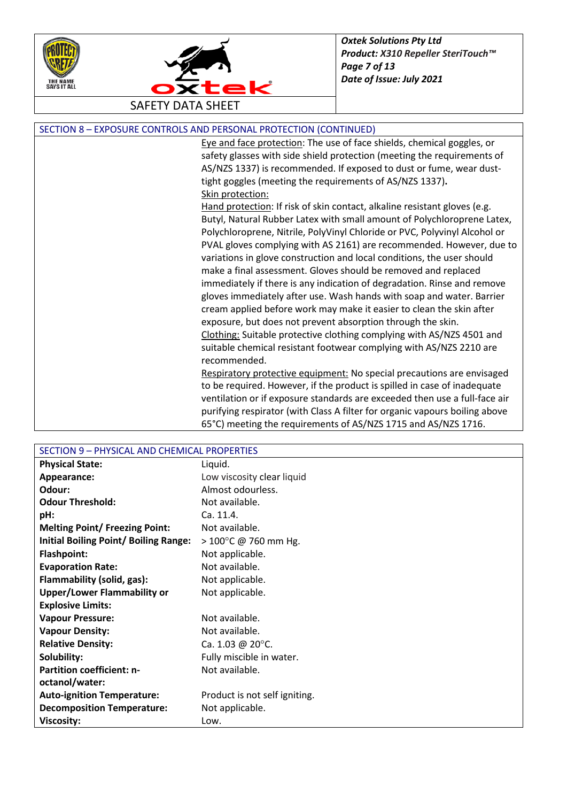



| SECTION 8 - EXPOSURE CONTROLS AND PERSONAL PROTECTION (CONTINUED) |
|-------------------------------------------------------------------|
|-------------------------------------------------------------------|

Eye and face protection: The use of face shields, chemical goggles, or safety glasses with side shield protection (meeting the requirements of AS/NZS 1337) is recommended. If exposed to dust or fume, wear dusttight goggles (meeting the requirements of AS/NZS 1337)**.** Skin protection:

Hand protection: If risk of skin contact, alkaline resistant gloves (e.g. Butyl, Natural Rubber Latex with small amount of Polychloroprene Latex, Polychloroprene, Nitrile, PolyVinyl Chloride or PVC, Polyvinyl Alcohol or PVAL gloves complying with AS 2161) are recommended. However, due to variations in glove construction and local conditions, the user should make a final assessment. Gloves should be removed and replaced immediately if there is any indication of degradation. Rinse and remove gloves immediately after use. Wash hands with soap and water. Barrier cream applied before work may make it easier to clean the skin after exposure, but does not prevent absorption through the skin. Clothing: Suitable protective clothing complying with AS/NZS 4501 and suitable chemical resistant footwear complying with AS/NZS 2210 are recommended.

Respiratory protective equipment: No special precautions are envisaged to be required. However, if the product is spilled in case of inadequate ventilation or if exposure standards are exceeded then use a full-face air purifying respirator (with Class A filter for organic vapours boiling above 65°C) meeting the requirements of AS/NZS 1715 and AS/NZS 1716.

| SECTION 9 - PHYSICAL AND CHEMICAL PROPERTIES |                                |
|----------------------------------------------|--------------------------------|
| <b>Physical State:</b>                       | Liquid.                        |
| Appearance:                                  | Low viscosity clear liquid     |
| Odour:                                       | Almost odourless.              |
| <b>Odour Threshold:</b>                      | Not available.                 |
| pH:                                          | Ca. 11.4.                      |
| <b>Melting Point/ Freezing Point:</b>        | Not available.                 |
| <b>Initial Boiling Point/ Boiling Range:</b> | $> 100^{\circ}$ C @ 760 mm Hg. |
| <b>Flashpoint:</b>                           | Not applicable.                |
| <b>Evaporation Rate:</b>                     | Not available.                 |
| Flammability (solid, gas):                   | Not applicable.                |
| <b>Upper/Lower Flammability or</b>           | Not applicable.                |
| <b>Explosive Limits:</b>                     |                                |
| <b>Vapour Pressure:</b>                      | Not available.                 |
| <b>Vapour Density:</b>                       | Not available.                 |
| <b>Relative Density:</b>                     | Ca. 1.03 @ 20 $^{\circ}$ C.    |
| Solubility:                                  | Fully miscible in water.       |
| <b>Partition coefficient: n-</b>             | Not available.                 |
| octanol/water:                               |                                |
| <b>Auto-ignition Temperature:</b>            | Product is not self igniting.  |
| <b>Decomposition Temperature:</b>            | Not applicable.                |
| <b>Viscosity:</b>                            | Low.                           |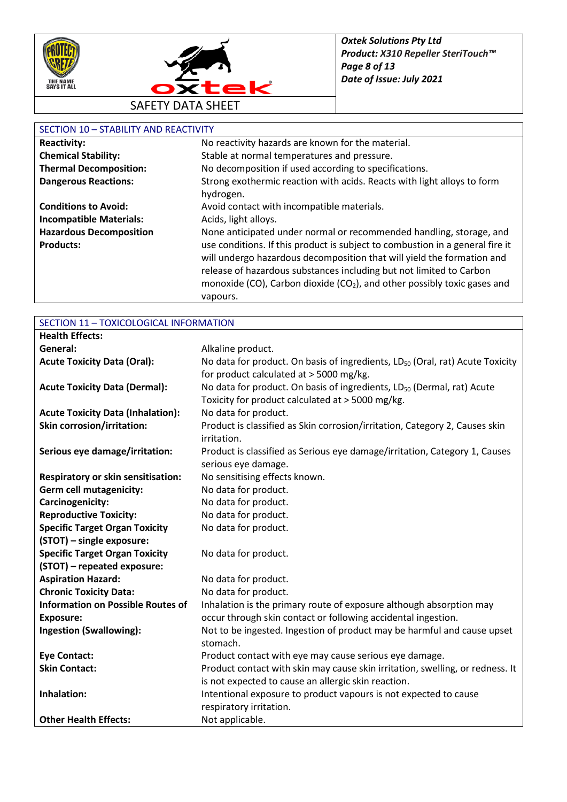



## SECTION 10 – STABILITY AND REACTIVITY

| JLUTIUS 10<br>JIMUIII IMU NLMUIII |                                                                                      |
|-----------------------------------|--------------------------------------------------------------------------------------|
| <b>Reactivity:</b>                | No reactivity hazards are known for the material.                                    |
| <b>Chemical Stability:</b>        | Stable at normal temperatures and pressure.                                          |
| <b>Thermal Decomposition:</b>     | No decomposition if used according to specifications.                                |
| <b>Dangerous Reactions:</b>       | Strong exothermic reaction with acids. Reacts with light alloys to form              |
|                                   | hydrogen.                                                                            |
| <b>Conditions to Avoid:</b>       | Avoid contact with incompatible materials.                                           |
| <b>Incompatible Materials:</b>    | Acids, light alloys.                                                                 |
| <b>Hazardous Decomposition</b>    | None anticipated under normal or recommended handling, storage, and                  |
| <b>Products:</b>                  | use conditions. If this product is subject to combustion in a general fire it        |
|                                   | will undergo hazardous decomposition that will yield the formation and               |
|                                   | release of hazardous substances including but not limited to Carbon                  |
|                                   | monoxide (CO), Carbon dioxide (CO <sub>2</sub> ), and other possibly toxic gases and |
|                                   | vapours.                                                                             |

| SECTION 11 - TOXICOLOGICAL INFORMATION    |                                                                                           |
|-------------------------------------------|-------------------------------------------------------------------------------------------|
| <b>Health Effects:</b>                    |                                                                                           |
| General:                                  | Alkaline product.                                                                         |
| <b>Acute Toxicity Data (Oral):</b>        | No data for product. On basis of ingredients, LD <sub>50</sub> (Oral, rat) Acute Toxicity |
|                                           | for product calculated at > 5000 mg/kg.                                                   |
| <b>Acute Toxicity Data (Dermal):</b>      | No data for product. On basis of ingredients, LD <sub>50</sub> (Dermal, rat) Acute        |
|                                           | Toxicity for product calculated at > 5000 mg/kg.                                          |
| <b>Acute Toxicity Data (Inhalation):</b>  | No data for product.                                                                      |
| <b>Skin corrosion/irritation:</b>         | Product is classified as Skin corrosion/irritation, Category 2, Causes skin               |
|                                           | irritation.                                                                               |
| Serious eye damage/irritation:            | Product is classified as Serious eye damage/irritation, Category 1, Causes                |
|                                           | serious eye damage.                                                                       |
| <b>Respiratory or skin sensitisation:</b> | No sensitising effects known.                                                             |
| <b>Germ cell mutagenicity:</b>            | No data for product.                                                                      |
| Carcinogenicity:                          | No data for product.                                                                      |
| <b>Reproductive Toxicity:</b>             | No data for product.                                                                      |
| <b>Specific Target Organ Toxicity</b>     | No data for product.                                                                      |
| (STOT) - single exposure:                 |                                                                                           |
| <b>Specific Target Organ Toxicity</b>     | No data for product.                                                                      |
| (STOT) - repeated exposure:               |                                                                                           |
| <b>Aspiration Hazard:</b>                 | No data for product.                                                                      |
| <b>Chronic Toxicity Data:</b>             | No data for product.                                                                      |
| <b>Information on Possible Routes of</b>  | Inhalation is the primary route of exposure although absorption may                       |
| <b>Exposure:</b>                          | occur through skin contact or following accidental ingestion.                             |
| <b>Ingestion (Swallowing):</b>            | Not to be ingested. Ingestion of product may be harmful and cause upset                   |
|                                           | stomach.                                                                                  |
| <b>Eye Contact:</b>                       | Product contact with eye may cause serious eye damage.                                    |
| <b>Skin Contact:</b>                      | Product contact with skin may cause skin irritation, swelling, or redness. It             |
|                                           | is not expected to cause an allergic skin reaction.                                       |
| Inhalation:                               | Intentional exposure to product vapours is not expected to cause                          |
|                                           | respiratory irritation.                                                                   |
| <b>Other Health Effects:</b>              | Not applicable.                                                                           |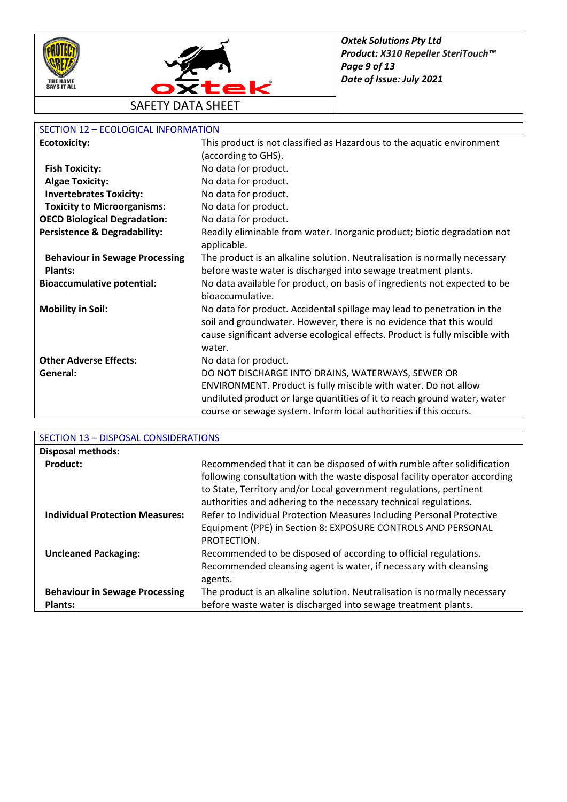



| SECTION 12 - ECOLOGICAL INFORMATION     |                                                                                                                                                                                                                                          |
|-----------------------------------------|------------------------------------------------------------------------------------------------------------------------------------------------------------------------------------------------------------------------------------------|
| <b>Ecotoxicity:</b>                     | This product is not classified as Hazardous to the aquatic environment                                                                                                                                                                   |
|                                         | (according to GHS).                                                                                                                                                                                                                      |
| <b>Fish Toxicity:</b>                   | No data for product.                                                                                                                                                                                                                     |
| <b>Algae Toxicity:</b>                  | No data for product.                                                                                                                                                                                                                     |
| <b>Invertebrates Toxicity:</b>          | No data for product.                                                                                                                                                                                                                     |
| <b>Toxicity to Microorganisms:</b>      | No data for product.                                                                                                                                                                                                                     |
| <b>OECD Biological Degradation:</b>     | No data for product.                                                                                                                                                                                                                     |
| <b>Persistence &amp; Degradability:</b> | Readily eliminable from water. Inorganic product; biotic degradation not<br>applicable.                                                                                                                                                  |
| <b>Behaviour in Sewage Processing</b>   | The product is an alkaline solution. Neutralisation is normally necessary                                                                                                                                                                |
| <b>Plants:</b>                          | before waste water is discharged into sewage treatment plants.                                                                                                                                                                           |
| <b>Bioaccumulative potential:</b>       | No data available for product, on basis of ingredients not expected to be<br>bioaccumulative.                                                                                                                                            |
| <b>Mobility in Soil:</b>                | No data for product. Accidental spillage may lead to penetration in the<br>soil and groundwater. However, there is no evidence that this would<br>cause significant adverse ecological effects. Product is fully miscible with<br>water. |
| <b>Other Adverse Effects:</b>           | No data for product.                                                                                                                                                                                                                     |
| General:                                | DO NOT DISCHARGE INTO DRAINS, WATERWAYS, SEWER OR                                                                                                                                                                                        |
|                                         | ENVIRONMENT. Product is fully miscible with water. Do not allow                                                                                                                                                                          |
|                                         | undiluted product or large quantities of it to reach ground water, water                                                                                                                                                                 |
|                                         | course or sewage system. Inform local authorities if this occurs.                                                                                                                                                                        |

| SECTION 13 - DISPOSAL CONSIDERATIONS   |                                                                            |
|----------------------------------------|----------------------------------------------------------------------------|
| <b>Disposal methods:</b>               |                                                                            |
| <b>Product:</b>                        | Recommended that it can be disposed of with rumble after solidification    |
|                                        | following consultation with the waste disposal facility operator according |
|                                        | to State, Territory and/or Local government regulations, pertinent         |
|                                        | authorities and adhering to the necessary technical regulations.           |
| <b>Individual Protection Measures:</b> | Refer to Individual Protection Measures Including Personal Protective      |
|                                        | Equipment (PPE) in Section 8: EXPOSURE CONTROLS AND PERSONAL               |
|                                        | PROTECTION.                                                                |
| <b>Uncleaned Packaging:</b>            | Recommended to be disposed of according to official regulations.           |
|                                        | Recommended cleansing agent is water, if necessary with cleansing          |
|                                        | agents.                                                                    |
| <b>Behaviour in Sewage Processing</b>  | The product is an alkaline solution. Neutralisation is normally necessary  |
| <b>Plants:</b>                         | before waste water is discharged into sewage treatment plants.             |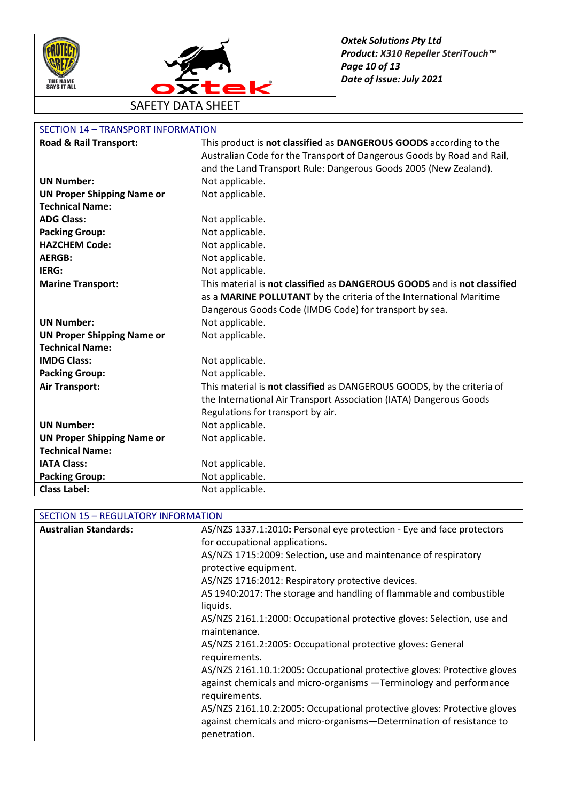



| Road & Rail Transport:            | This product is not classified as DANGEROUS GOODS according to the       |
|-----------------------------------|--------------------------------------------------------------------------|
|                                   | Australian Code for the Transport of Dangerous Goods by Road and Rail,   |
|                                   | and the Land Transport Rule: Dangerous Goods 2005 (New Zealand).         |
| <b>UN Number:</b>                 | Not applicable.                                                          |
| <b>UN Proper Shipping Name or</b> | Not applicable.                                                          |
| <b>Technical Name:</b>            |                                                                          |
| <b>ADG Class:</b>                 | Not applicable.                                                          |
| <b>Packing Group:</b>             | Not applicable.                                                          |
| <b>HAZCHEM Code:</b>              | Not applicable.                                                          |
| <b>AERGB:</b>                     | Not applicable.                                                          |
| IERG:                             | Not applicable.                                                          |
| <b>Marine Transport:</b>          | This material is not classified as DANGEROUS GOODS and is not classified |
|                                   | as a MARINE POLLUTANT by the criteria of the International Maritime      |
|                                   | Dangerous Goods Code (IMDG Code) for transport by sea.                   |
| <b>UN Number:</b>                 | Not applicable.                                                          |
| <b>UN Proper Shipping Name or</b> | Not applicable.                                                          |
| <b>Technical Name:</b>            |                                                                          |
| <b>IMDG Class:</b>                | Not applicable.                                                          |
| <b>Packing Group:</b>             | Not applicable.                                                          |
| <b>Air Transport:</b>             | This material is not classified as DANGEROUS GOODS, by the criteria of   |
|                                   | the International Air Transport Association (IATA) Dangerous Goods       |
|                                   | Regulations for transport by air.                                        |
| <b>UN Number:</b>                 | Not applicable.                                                          |
| <b>UN Proper Shipping Name or</b> | Not applicable.                                                          |
| <b>Technical Name:</b>            |                                                                          |
| <b>IATA Class:</b>                | Not applicable.                                                          |
| <b>Packing Group:</b>             | Not applicable.                                                          |
| <b>Class Label:</b>               | Not applicable.                                                          |

| <b>Australian Standards:</b> | AS/NZS 1337.1:2010: Personal eye protection - Eye and face protectors                                                                          |
|------------------------------|------------------------------------------------------------------------------------------------------------------------------------------------|
|                              | for occupational applications.                                                                                                                 |
|                              | AS/NZS 1715:2009: Selection, use and maintenance of respiratory                                                                                |
|                              | protective equipment.                                                                                                                          |
|                              | AS/NZS 1716:2012: Respiratory protective devices.                                                                                              |
|                              | AS 1940:2017: The storage and handling of flammable and combustible<br>liquids.                                                                |
|                              | AS/NZS 2161.1:2000: Occupational protective gloves: Selection, use and<br>maintenance.                                                         |
|                              | AS/NZS 2161.2:2005: Occupational protective gloves: General<br>requirements.                                                                   |
|                              | AS/NZS 2161.10.1:2005: Occupational protective gloves: Protective gloves<br>against chemicals and micro-organisms -Terminology and performance |
|                              | requirements.                                                                                                                                  |
|                              | AS/NZS 2161.10.2:2005: Occupational protective gloves: Protective gloves                                                                       |
|                              | against chemicals and micro-organisms-Determination of resistance to                                                                           |
|                              | penetration.                                                                                                                                   |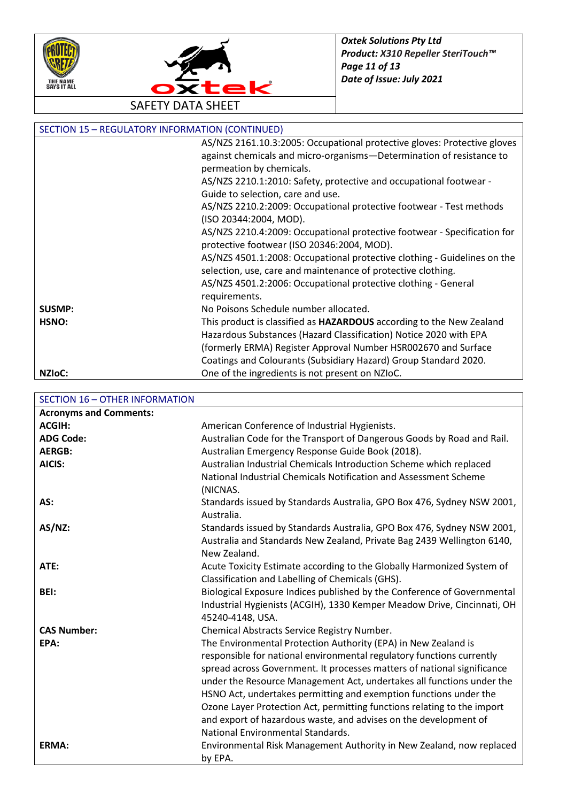



| <b>SECTION 15 - REGULATORY INFORMATION (CONTINUED)</b> |                                                                             |
|--------------------------------------------------------|-----------------------------------------------------------------------------|
|                                                        | AS/NZS 2161.10.3:2005: Occupational protective gloves: Protective gloves    |
|                                                        | against chemicals and micro-organisms-Determination of resistance to        |
|                                                        | permeation by chemicals.                                                    |
|                                                        | AS/NZS 2210.1:2010: Safety, protective and occupational footwear -          |
|                                                        | Guide to selection, care and use.                                           |
|                                                        | AS/NZS 2210.2:2009: Occupational protective footwear - Test methods         |
|                                                        | (ISO 20344:2004, MOD).                                                      |
|                                                        | AS/NZS 2210.4:2009: Occupational protective footwear - Specification for    |
|                                                        | protective footwear (ISO 20346:2004, MOD).                                  |
|                                                        | AS/NZS 4501.1:2008: Occupational protective clothing - Guidelines on the    |
|                                                        | selection, use, care and maintenance of protective clothing.                |
|                                                        | AS/NZS 4501.2:2006: Occupational protective clothing - General              |
|                                                        | requirements.                                                               |
| <b>SUSMP:</b>                                          | No Poisons Schedule number allocated.                                       |
| HSNO:                                                  | This product is classified as <b>HAZARDOUS</b> according to the New Zealand |
|                                                        | Hazardous Substances (Hazard Classification) Notice 2020 with EPA           |
|                                                        | (formerly ERMA) Register Approval Number HSR002670 and Surface              |
|                                                        | Coatings and Colourants (Subsidiary Hazard) Group Standard 2020.            |
| NZI <sub>o</sub> C:                                    | One of the ingredients is not present on NZIoC.                             |

SECTION 16 – OTHER INFORMATION

| <b>Acronyms and Comments:</b> |                                                                         |
|-------------------------------|-------------------------------------------------------------------------|
| <b>ACGIH:</b>                 | American Conference of Industrial Hygienists.                           |
| <b>ADG Code:</b>              | Australian Code for the Transport of Dangerous Goods by Road and Rail.  |
| <b>AERGB:</b>                 | Australian Emergency Response Guide Book (2018).                        |
| AICIS:                        | Australian Industrial Chemicals Introduction Scheme which replaced      |
|                               | National Industrial Chemicals Notification and Assessment Scheme        |
|                               | (NICNAS.                                                                |
| AS:                           | Standards issued by Standards Australia, GPO Box 476, Sydney NSW 2001,  |
|                               | Australia.                                                              |
| $AS/NZ$ :                     | Standards issued by Standards Australia, GPO Box 476, Sydney NSW 2001,  |
|                               | Australia and Standards New Zealand, Private Bag 2439 Wellington 6140,  |
|                               | New Zealand.                                                            |
| ATE:                          | Acute Toxicity Estimate according to the Globally Harmonized System of  |
|                               | Classification and Labelling of Chemicals (GHS).                        |
| BEI:                          | Biological Exposure Indices published by the Conference of Governmental |
|                               | Industrial Hygienists (ACGIH), 1330 Kemper Meadow Drive, Cincinnati, OH |
|                               | 45240-4148, USA.                                                        |
| <b>CAS Number:</b>            | Chemical Abstracts Service Registry Number.                             |
| EPA:                          | The Environmental Protection Authority (EPA) in New Zealand is          |
|                               | responsible for national environmental regulatory functions currently   |
|                               | spread across Government. It processes matters of national significance |
|                               | under the Resource Management Act, undertakes all functions under the   |
|                               | HSNO Act, undertakes permitting and exemption functions under the       |
|                               | Ozone Layer Protection Act, permitting functions relating to the import |
|                               | and export of hazardous waste, and advises on the development of        |
|                               | National Environmental Standards.                                       |
| ERMA:                         | Environmental Risk Management Authority in New Zealand, now replaced    |
|                               | by EPA.                                                                 |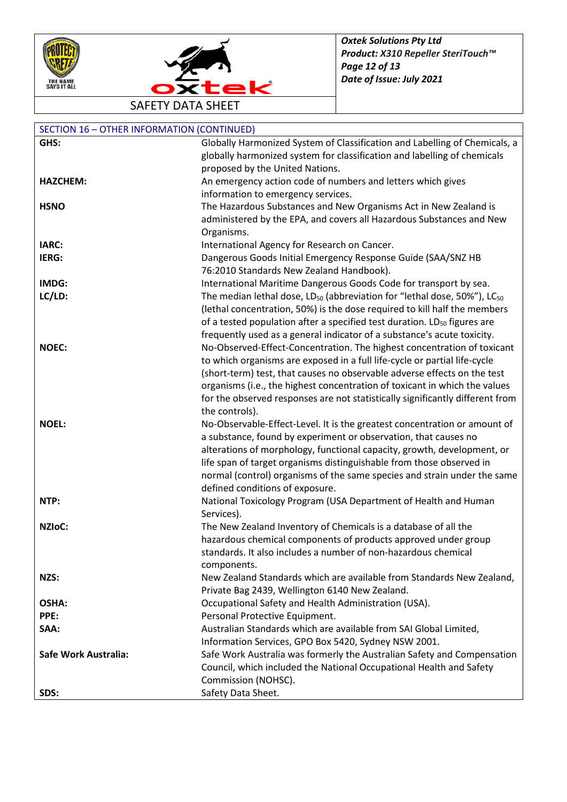



| <b>SECTION 16 - OTHER INFORMATION (CONTINUED)</b> |                                                                                                                                                 |
|---------------------------------------------------|-------------------------------------------------------------------------------------------------------------------------------------------------|
| GHS:                                              | Globally Harmonized System of Classification and Labelling of Chemicals, a                                                                      |
|                                                   | globally harmonized system for classification and labelling of chemicals                                                                        |
|                                                   | proposed by the United Nations.                                                                                                                 |
| <b>HAZCHEM:</b>                                   | An emergency action code of numbers and letters which gives                                                                                     |
|                                                   | information to emergency services.                                                                                                              |
| <b>HSNO</b>                                       | The Hazardous Substances and New Organisms Act in New Zealand is                                                                                |
|                                                   | administered by the EPA, and covers all Hazardous Substances and New                                                                            |
|                                                   | Organisms.                                                                                                                                      |
| IARC:                                             | International Agency for Research on Cancer.                                                                                                    |
| IERG:                                             | Dangerous Goods Initial Emergency Response Guide (SAA/SNZ HB                                                                                    |
|                                                   | 76:2010 Standards New Zealand Handbook).                                                                                                        |
| IMDG:                                             | International Maritime Dangerous Goods Code for transport by sea.                                                                               |
| LC/LD:                                            | The median lethal dose, LD <sub>50</sub> (abbreviation for "lethal dose, 50%"), LC <sub>50</sub>                                                |
|                                                   | (lethal concentration, 50%) is the dose required to kill half the members                                                                       |
|                                                   | of a tested population after a specified test duration. LD <sub>50</sub> figures are                                                            |
|                                                   | frequently used as a general indicator of a substance's acute toxicity.                                                                         |
| <b>NOEC:</b>                                      | No-Observed-Effect-Concentration. The highest concentration of toxicant                                                                         |
|                                                   | to which organisms are exposed in a full life-cycle or partial life-cycle                                                                       |
|                                                   | (short-term) test, that causes no observable adverse effects on the test                                                                        |
|                                                   | organisms (i.e., the highest concentration of toxicant in which the values                                                                      |
|                                                   | for the observed responses are not statistically significantly different from                                                                   |
|                                                   | the controls).                                                                                                                                  |
| <b>NOEL:</b>                                      | No-Observable-Effect-Level. It is the greatest concentration or amount of                                                                       |
|                                                   | a substance, found by experiment or observation, that causes no                                                                                 |
|                                                   | alterations of morphology, functional capacity, growth, development, or<br>life span of target organisms distinguishable from those observed in |
|                                                   | normal (control) organisms of the same species and strain under the same                                                                        |
|                                                   | defined conditions of exposure.                                                                                                                 |
| NTP:                                              | National Toxicology Program (USA Department of Health and Human                                                                                 |
|                                                   | Services).                                                                                                                                      |
| <b>NZIOC:</b>                                     | The New Zealand Inventory of Chemicals is a database of all the                                                                                 |
|                                                   | hazardous chemical components of products approved under group                                                                                  |
|                                                   | standards. It also includes a number of non-hazardous chemical                                                                                  |
|                                                   | components.                                                                                                                                     |
| NZS:                                              | New Zealand Standards which are available from Standards New Zealand,                                                                           |
|                                                   | Private Bag 2439, Wellington 6140 New Zealand.                                                                                                  |
| OSHA:                                             | Occupational Safety and Health Administration (USA).                                                                                            |
| PPE:                                              | Personal Protective Equipment.                                                                                                                  |
| SAA:                                              | Australian Standards which are available from SAI Global Limited,                                                                               |
|                                                   | Information Services, GPO Box 5420, Sydney NSW 2001.                                                                                            |
| <b>Safe Work Australia:</b>                       | Safe Work Australia was formerly the Australian Safety and Compensation                                                                         |
|                                                   | Council, which included the National Occupational Health and Safety                                                                             |
|                                                   | Commission (NOHSC).                                                                                                                             |
| SDS:                                              | Safety Data Sheet.                                                                                                                              |